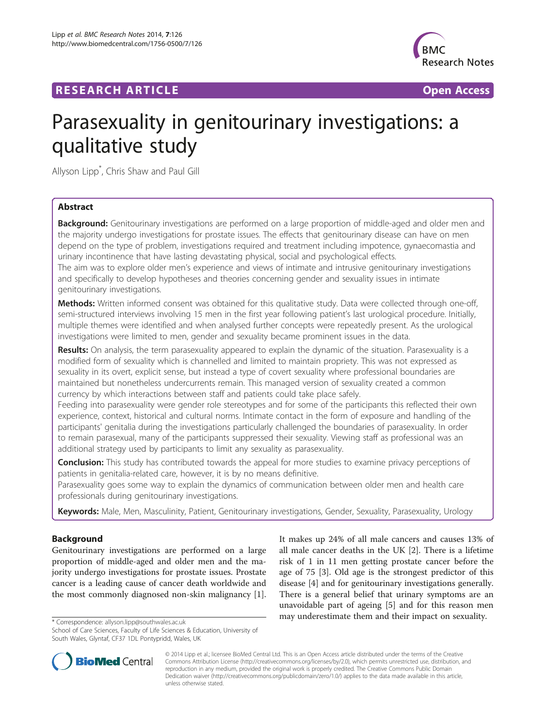## **RESEARCH ARTICLE Example 2018 12:00 Department 2018 12:00 Department 2018 12:00 Department 2018 12:00 Department 2018 12:00 Department 2018 12:00 Department 2018 12:00 Department 2018 12:00 Department 2018 12:00 Departm**



# Parasexuality in genitourinary investigations: a qualitative study

Allyson Lipp\* , Chris Shaw and Paul Gill

## Abstract

Background: Genitourinary investigations are performed on a large proportion of middle-aged and older men and the majority undergo investigations for prostate issues. The effects that genitourinary disease can have on men depend on the type of problem, investigations required and treatment including impotence, gynaecomastia and urinary incontinence that have lasting devastating physical, social and psychological effects.

The aim was to explore older men's experience and views of intimate and intrusive genitourinary investigations and specifically to develop hypotheses and theories concerning gender and sexuality issues in intimate genitourinary investigations.

Methods: Written informed consent was obtained for this qualitative study. Data were collected through one-off, semi-structured interviews involving 15 men in the first year following patient's last urological procedure. Initially, multiple themes were identified and when analysed further concepts were repeatedly present. As the urological investigations were limited to men, gender and sexuality became prominent issues in the data.

Results: On analysis, the term parasexuality appeared to explain the dynamic of the situation. Parasexuality is a modified form of sexuality which is channelled and limited to maintain propriety. This was not expressed as sexuality in its overt, explicit sense, but instead a type of covert sexuality where professional boundaries are maintained but nonetheless undercurrents remain. This managed version of sexuality created a common currency by which interactions between staff and patients could take place safely.

Feeding into parasexuality were gender role stereotypes and for some of the participants this reflected their own experience, context, historical and cultural norms. Intimate contact in the form of exposure and handling of the participants' genitalia during the investigations particularly challenged the boundaries of parasexuality. In order to remain parasexual, many of the participants suppressed their sexuality. Viewing staff as professional was an additional strategy used by participants to limit any sexuality as parasexuality.

**Conclusion:** This study has contributed towards the appeal for more studies to examine privacy perceptions of patients in genitalia-related care, however, it is by no means definitive.

Parasexuality goes some way to explain the dynamics of communication between older men and health care professionals during genitourinary investigations.

Keywords: Male, Men, Masculinity, Patient, Genitourinary investigations, Gender, Sexuality, Parasexuality, Urology

## Background

Genitourinary investigations are performed on a large proportion of middle-aged and older men and the majority undergo investigations for prostate issues. Prostate cancer is a leading cause of cancer death worldwide and the most commonly diagnosed non-skin malignancy [\[1](#page-8-0)].

It makes up 24% of all male cancers and causes 13% of all male cancer deaths in the UK [[2\]](#page-8-0). There is a lifetime risk of 1 in 11 men getting prostate cancer before the age of 75 [\[3\]](#page-8-0). Old age is the strongest predictor of this disease [[4](#page-8-0)] and for genitourinary investigations generally. There is a general belief that urinary symptoms are an unavoidable part of ageing [[5\]](#page-8-0) and for this reason men may underestimate them and their impact on sexuality. \* Correspondence: [allyson.lipp@southwales.ac.uk](mailto:allyson.lipp@southwales.ac.uk)



© 2014 Lipp et al.; licensee BioMed Central Ltd. This is an Open Access article distributed under the terms of the Creative Commons Attribution License [\(http://creativecommons.org/licenses/by/2.0\)](http://creativecommons.org/licenses/by/2.0), which permits unrestricted use, distribution, and reproduction in any medium, provided the original work is properly credited. The Creative Commons Public Domain Dedication waiver [\(http://creativecommons.org/publicdomain/zero/1.0/](http://creativecommons.org/publicdomain/zero/1.0/)) applies to the data made available in this article, unless otherwise stated.

School of Care Sciences, Faculty of Life Sciences & Education, University of South Wales, Glyntaf, CF37 1DL Pontypridd, Wales, UK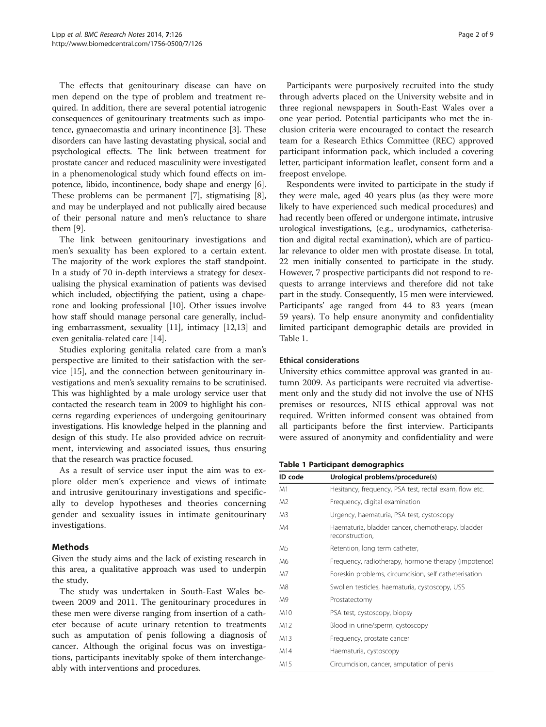The effects that genitourinary disease can have on men depend on the type of problem and treatment required. In addition, there are several potential iatrogenic consequences of genitourinary treatments such as impotence, gynaecomastia and urinary incontinence [\[3](#page-8-0)]. These disorders can have lasting devastating physical, social and psychological effects. The link between treatment for prostate cancer and reduced masculinity were investigated in a phenomenological study which found effects on impotence, libido, incontinence, body shape and energy [[6](#page-8-0)]. These problems can be permanent [\[7](#page-8-0)], stigmatising [[8](#page-8-0)], and may be underplayed and not publically aired because of their personal nature and men's reluctance to share them [\[9](#page-8-0)].

The link between genitourinary investigations and men's sexuality has been explored to a certain extent. The majority of the work explores the staff standpoint. In a study of 70 in-depth interviews a strategy for desexualising the physical examination of patients was devised which included, objectifying the patient, using a chaperone and looking professional [\[10](#page-8-0)]. Other issues involve how staff should manage personal care generally, including embarrassment, sexuality [[11](#page-8-0)], intimacy [[12,13\]](#page-8-0) and even genitalia-related care [[14](#page-8-0)].

Studies exploring genitalia related care from a man's perspective are limited to their satisfaction with the service [\[15](#page-8-0)], and the connection between genitourinary investigations and men's sexuality remains to be scrutinised. This was highlighted by a male urology service user that contacted the research team in 2009 to highlight his concerns regarding experiences of undergoing genitourinary investigations. His knowledge helped in the planning and design of this study. He also provided advice on recruitment, interviewing and associated issues, thus ensuring that the research was practice focused.

As a result of service user input the aim was to explore older men's experience and views of intimate and intrusive genitourinary investigations and specifically to develop hypotheses and theories concerning gender and sexuality issues in intimate genitourinary investigations.

## Methods

Given the study aims and the lack of existing research in this area, a qualitative approach was used to underpin the study.

The study was undertaken in South-East Wales between 2009 and 2011. The genitourinary procedures in these men were diverse ranging from insertion of a catheter because of acute urinary retention to treatments such as amputation of penis following a diagnosis of cancer. Although the original focus was on investigations, participants inevitably spoke of them interchangeably with interventions and procedures.

Participants were purposively recruited into the study through adverts placed on the University website and in three regional newspapers in South-East Wales over a one year period. Potential participants who met the inclusion criteria were encouraged to contact the research team for a Research Ethics Committee (REC) approved participant information pack, which included a covering letter, participant information leaflet, consent form and a freepost envelope.

Respondents were invited to participate in the study if they were male, aged 40 years plus (as they were more likely to have experienced such medical procedures) and had recently been offered or undergone intimate, intrusive urological investigations, (e.g., urodynamics, catheterisation and digital rectal examination), which are of particular relevance to older men with prostate disease. In total, 22 men initially consented to participate in the study. However, 7 prospective participants did not respond to requests to arrange interviews and therefore did not take part in the study. Consequently, 15 men were interviewed. Participants' age ranged from 44 to 83 years (mean 59 years). To help ensure anonymity and confidentiality limited participant demographic details are provided in Table 1.

## Ethical considerations

University ethics committee approval was granted in autumn 2009. As participants were recruited via advertisement only and the study did not involve the use of NHS premises or resources, NHS ethical approval was not required. Written informed consent was obtained from all participants before the first interview. Participants were assured of anonymity and confidentiality and were

Table 1 Participant demographics

| ID code | Urological problems/procedure(s)                                     |  |
|---------|----------------------------------------------------------------------|--|
| M1      | Hesitancy, frequency, PSA test, rectal exam, flow etc.               |  |
| M2      | Frequency, digital examination                                       |  |
| M3      | Urgency, haematuria, PSA test, cystoscopy                            |  |
| M4      | Haematuria, bladder cancer, chemotherapy, bladder<br>reconstruction, |  |
| M5      | Retention, long term catheter,                                       |  |
| M6      | Frequency, radiotherapy, hormone therapy (impotence)                 |  |
| M7      | Foreskin problems, circumcision, self catheterisation                |  |
| M8      | Swollen testicles, haematuria, cystoscopy, USS                       |  |
| M9      | Prostatectomy                                                        |  |
| M10     | PSA test, cystoscopy, biopsy                                         |  |
| M12     | Blood in urine/sperm, cystoscopy                                     |  |
| M13     | Frequency, prostate cancer                                           |  |
| M14     | Haematuria, cystoscopy                                               |  |
| M15     | Circumcision, cancer, amputation of penis                            |  |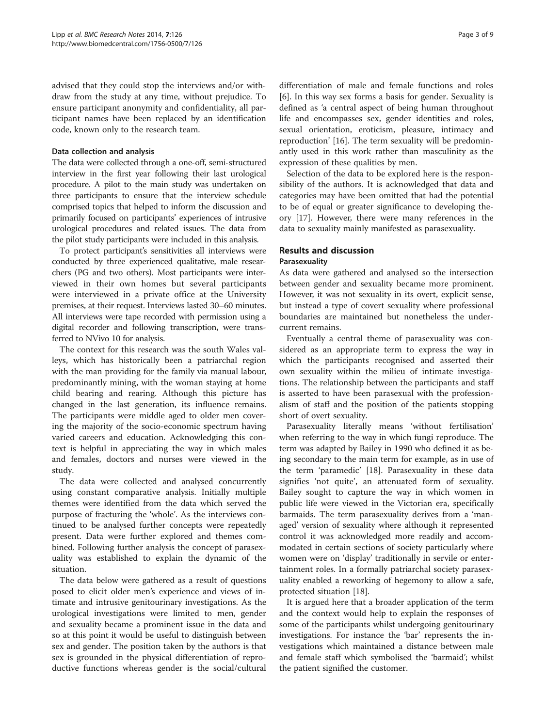advised that they could stop the interviews and/or withdraw from the study at any time, without prejudice. To ensure participant anonymity and confidentiality, all participant names have been replaced by an identification code, known only to the research team.

#### Data collection and analysis

The data were collected through a one-off, semi-structured interview in the first year following their last urological procedure. A pilot to the main study was undertaken on three participants to ensure that the interview schedule comprised topics that helped to inform the discussion and primarily focused on participants' experiences of intrusive urological procedures and related issues. The data from the pilot study participants were included in this analysis.

To protect participant's sensitivities all interviews were conducted by three experienced qualitative, male researchers (PG and two others). Most participants were interviewed in their own homes but several participants were interviewed in a private office at the University premises, at their request. Interviews lasted 30–60 minutes. All interviews were tape recorded with permission using a digital recorder and following transcription, were transferred to NVivo 10 for analysis.

The context for this research was the south Wales valleys, which has historically been a patriarchal region with the man providing for the family via manual labour, predominantly mining, with the woman staying at home child bearing and rearing. Although this picture has changed in the last generation, its influence remains. The participants were middle aged to older men covering the majority of the socio-economic spectrum having varied careers and education. Acknowledging this context is helpful in appreciating the way in which males and females, doctors and nurses were viewed in the study.

The data were collected and analysed concurrently using constant comparative analysis. Initially multiple themes were identified from the data which served the purpose of fracturing the 'whole'. As the interviews continued to be analysed further concepts were repeatedly present. Data were further explored and themes combined. Following further analysis the concept of parasexuality was established to explain the dynamic of the situation.

The data below were gathered as a result of questions posed to elicit older men's experience and views of intimate and intrusive genitourinary investigations. As the urological investigations were limited to men, gender and sexuality became a prominent issue in the data and so at this point it would be useful to distinguish between sex and gender. The position taken by the authors is that sex is grounded in the physical differentiation of reproductive functions whereas gender is the social/cultural

differentiation of male and female functions and roles [[6\]](#page-8-0). In this way sex forms a basis for gender. Sexuality is defined as 'a central aspect of being human throughout life and encompasses sex, gender identities and roles, sexual orientation, eroticism, pleasure, intimacy and reproduction' [\[16](#page-8-0)]. The term sexuality will be predominantly used in this work rather than masculinity as the expression of these qualities by men.

Selection of the data to be explored here is the responsibility of the authors. It is acknowledged that data and categories may have been omitted that had the potential to be of equal or greater significance to developing theory [[17\]](#page-8-0). However, there were many references in the data to sexuality mainly manifested as parasexuality.

## Results and discussion

#### Parasexuality

As data were gathered and analysed so the intersection between gender and sexuality became more prominent. However, it was not sexuality in its overt, explicit sense, but instead a type of covert sexuality where professional boundaries are maintained but nonetheless the undercurrent remains.

Eventually a central theme of parasexuality was considered as an appropriate term to express the way in which the participants recognised and asserted their own sexuality within the milieu of intimate investigations. The relationship between the participants and staff is asserted to have been parasexual with the professionalism of staff and the position of the patients stopping short of overt sexuality.

Parasexuality literally means 'without fertilisation' when referring to the way in which fungi reproduce. The term was adapted by Bailey in 1990 who defined it as being secondary to the main term for example, as in use of the term 'paramedic' [[18](#page-8-0)]. Parasexuality in these data signifies 'not quite', an attenuated form of sexuality. Bailey sought to capture the way in which women in public life were viewed in the Victorian era, specifically barmaids. The term parasexuality derives from a 'managed' version of sexuality where although it represented control it was acknowledged more readily and accommodated in certain sections of society particularly where women were on 'display' traditionally in servile or entertainment roles. In a formally patriarchal society parasexuality enabled a reworking of hegemony to allow a safe, protected situation [\[18\]](#page-8-0).

It is argued here that a broader application of the term and the context would help to explain the responses of some of the participants whilst undergoing genitourinary investigations. For instance the 'bar' represents the investigations which maintained a distance between male and female staff which symbolised the 'barmaid'; whilst the patient signified the customer.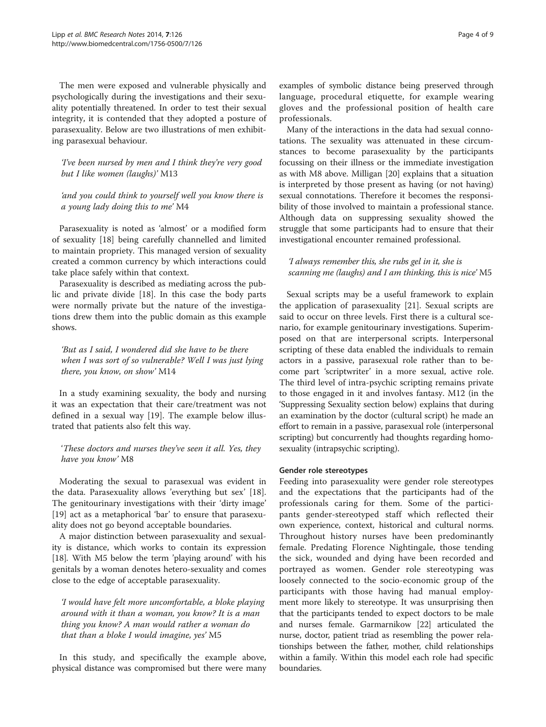The men were exposed and vulnerable physically and psychologically during the investigations and their sexuality potentially threatened. In order to test their sexual integrity, it is contended that they adopted a posture of parasexuality. Below are two illustrations of men exhibiting parasexual behaviour.

'I've been nursed by men and I think they're very good but I like women (laughs)' M13

'and you could think to yourself well you know there is a young lady doing this to me' M4

Parasexuality is noted as 'almost' or a modified form of sexuality [[18\]](#page-8-0) being carefully channelled and limited to maintain propriety. This managed version of sexuality created a common currency by which interactions could take place safely within that context.

Parasexuality is described as mediating across the public and private divide [[18\]](#page-8-0). In this case the body parts were normally private but the nature of the investigations drew them into the public domain as this example shows.

'But as I said, I wondered did she have to be there when I was sort of so vulnerable? Well I was just lying there, you know, on show' M14

In a study examining sexuality, the body and nursing it was an expectation that their care/treatment was not defined in a sexual way [\[19\]](#page-8-0). The example below illustrated that patients also felt this way.

'These doctors and nurses they've seen it all. Yes, they have you know' M8

Moderating the sexual to parasexual was evident in the data. Parasexuality allows 'everything but sex' [\[18](#page-8-0)]. The genitourinary investigations with their 'dirty image' [[19\]](#page-8-0) act as a metaphorical 'bar' to ensure that parasexuality does not go beyond acceptable boundaries.

A major distinction between parasexuality and sexuality is distance, which works to contain its expression [[18\]](#page-8-0). With M5 below the term 'playing around' with his genitals by a woman denotes hetero-sexuality and comes close to the edge of acceptable parasexuality.

'I would have felt more uncomfortable, a bloke playing around with it than a woman, you know? It is a man thing you know? A man would rather a woman do that than a bloke I would imagine, yes' M5

In this study, and specifically the example above, physical distance was compromised but there were many

examples of symbolic distance being preserved through language, procedural etiquette, for example wearing gloves and the professional position of health care professionals.

Many of the interactions in the data had sexual connotations. The sexuality was attenuated in these circumstances to become parasexuality by the participants focussing on their illness or the immediate investigation as with M8 above. Milligan [[20](#page-8-0)] explains that a situation is interpreted by those present as having (or not having) sexual connotations. Therefore it becomes the responsibility of those involved to maintain a professional stance. Although data on suppressing sexuality showed the struggle that some participants had to ensure that their investigational encounter remained professional.

'I always remember this, she rubs gel in it, she is scanning me (laughs) and I am thinking, this is nice' M5

Sexual scripts may be a useful framework to explain the application of parasexuality [[21](#page-8-0)]. Sexual scripts are said to occur on three levels. First there is a cultural scenario, for example genitourinary investigations. Superimposed on that are interpersonal scripts. Interpersonal scripting of these data enabled the individuals to remain actors in a passive, parasexual role rather than to become part 'scriptwriter' in a more sexual, active role. The third level of intra-psychic scripting remains private to those engaged in it and involves fantasy. M12 (in the '[Suppressing Sexuality](#page-5-0) section below) explains that during an examination by the doctor (cultural script) he made an effort to remain in a passive, parasexual role (interpersonal scripting) but concurrently had thoughts regarding homosexuality (intrapsychic scripting).

## Gender role stereotypes

Feeding into parasexuality were gender role stereotypes and the expectations that the participants had of the professionals caring for them. Some of the participants gender-stereotyped staff which reflected their own experience, context, historical and cultural norms. Throughout history nurses have been predominantly female. Predating Florence Nightingale, those tending the sick, wounded and dying have been recorded and portrayed as women. Gender role stereotyping was loosely connected to the socio-economic group of the participants with those having had manual employment more likely to stereotype. It was unsurprising then that the participants tended to expect doctors to be male and nurses female. Garmarnikow [\[22\]](#page-8-0) articulated the nurse, doctor, patient triad as resembling the power relationships between the father, mother, child relationships within a family. Within this model each role had specific boundaries.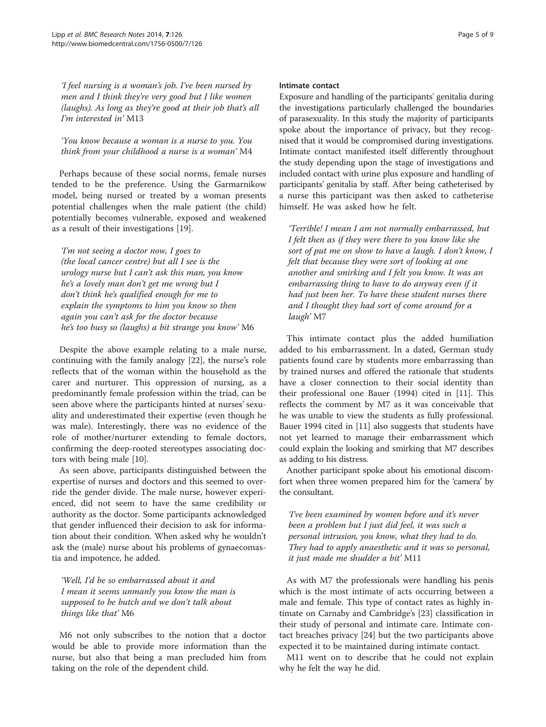'I feel nursing is a woman's job. I've been nursed by men and I think they're very good but I like women (laughs). As long as they're good at their job that's all I'm interested in' M13

'You know because a woman is a nurse to you. You think from your childhood a nurse is a woman' M4

Perhaps because of these social norms, female nurses tended to be the preference. Using the Garmarnikow model, being nursed or treated by a woman presents potential challenges when the male patient (the child) potentially becomes vulnerable, exposed and weakened as a result of their investigations [[19\]](#page-8-0).

'I'm not seeing a doctor now, I goes to (the local cancer centre) but all I see is the urology nurse but I can't ask this man, you know he's a lovely man don't get me wrong but I don't think he's qualified enough for me to explain the symptoms to him you know so then again you can't ask for the doctor because he's too busy so (laughs) a bit strange you know' M6

Despite the above example relating to a male nurse, continuing with the family analogy [\[22](#page-8-0)], the nurse's role reflects that of the woman within the household as the carer and nurturer. This oppression of nursing, as a predominantly female profession within the triad, can be seen above where the participants hinted at nurses' sexuality and underestimated their expertise (even though he was male). Interestingly, there was no evidence of the role of mother/nurturer extending to female doctors, confirming the deep-rooted stereotypes associating doctors with being male [[10\]](#page-8-0).

As seen above, participants distinguished between the expertise of nurses and doctors and this seemed to override the gender divide. The male nurse, however experienced, did not seem to have the same credibility or authority as the doctor. Some participants acknowledged that gender influenced their decision to ask for information about their condition. When asked why he wouldn't ask the (male) nurse about his problems of gynaecomastia and impotence, he added.

'Well, I'd be so embarrassed about it and I mean it seems unmanly you know the man is supposed to be butch and we don't talk about things like that' M6

M6 not only subscribes to the notion that a doctor would be able to provide more information than the nurse, but also that being a man precluded him from taking on the role of the dependent child.

#### Intimate contact

Exposure and handling of the participants' genitalia during the investigations particularly challenged the boundaries of parasexuality. In this study the majority of participants spoke about the importance of privacy, but they recognised that it would be compromised during investigations. Intimate contact manifested itself differently throughout the study depending upon the stage of investigations and included contact with urine plus exposure and handling of participants' genitalia by staff. After being catheterised by a nurse this participant was then asked to catheterise himself. He was asked how he felt.

'Terrible! I mean I am not normally embarrassed, but I felt then as if they were there to you know like she sort of put me on show to have a laugh. I don't know, I felt that because they were sort of looking at one another and smirking and I felt you know. It was an embarrassing thing to have to do anyway even if it had just been her. To have these student nurses there and I thought they had sort of come around for a laugh' M7

This intimate contact plus the added humiliation added to his embarrassment. In a dated, German study patients found care by students more embarrassing than by trained nurses and offered the rationale that students have a closer connection to their social identity than their professional one Bauer (1994) cited in [[11\]](#page-8-0). This reflects the comment by M7 as it was conceivable that he was unable to view the students as fully professional. Bauer 1994 cited in [\[11](#page-8-0)] also suggests that students have not yet learned to manage their embarrassment which could explain the looking and smirking that M7 describes as adding to his distress.

Another participant spoke about his emotional discomfort when three women prepared him for the 'camera' by the consultant.

'I've been examined by women before and it's never been a problem but I just did feel, it was such a personal intrusion, you know, what they had to do. They had to apply anaesthetic and it was so personal, it just made me shudder a bit' M11

As with M7 the professionals were handling his penis which is the most intimate of acts occurring between a male and female. This type of contact rates as highly intimate on Carnaby and Cambridge's [\[23](#page-8-0)] classification in their study of personal and intimate care. Intimate contact breaches privacy [[24\]](#page-8-0) but the two participants above expected it to be maintained during intimate contact.

M11 went on to describe that he could not explain why he felt the way he did.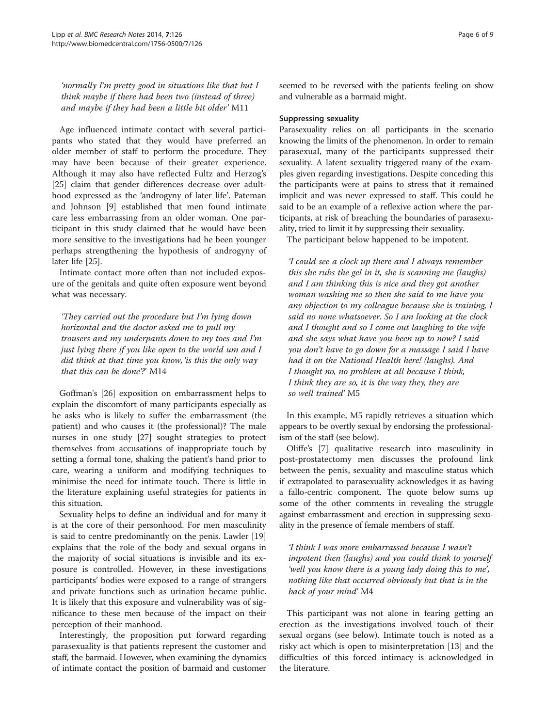<span id="page-5-0"></span>'normally I'm pretty good in situations like that but I think maybe if there had been two (instead of three) and maybe if they had been a little bit older' M11

Age influenced intimate contact with several participants who stated that they would have preferred an older member of staff to perform the procedure. They may have been because of their greater experience. Although it may also have reflected Fultz and Herzog's [[25\]](#page-8-0) claim that gender differences decrease over adulthood expressed as the 'androgyny of later life'. Pateman and Johnson [[9\]](#page-8-0) established that men found intimate care less embarrassing from an older woman. One participant in this study claimed that he would have been more sensitive to the investigations had he been younger perhaps strengthening the hypothesis of androgyny of later life [\[25](#page-8-0)].

Intimate contact more often than not included exposure of the genitals and quite often exposure went beyond what was necessary.

'They carried out the procedure but I'm lying down horizontal and the doctor asked me to pull my trousers and my underpants down to my toes and I'm just lying there if you like open to the world um and I did think at that time you know, 'is this the only way that this can be done'?' M14

Goffman's [\[26](#page-8-0)] exposition on embarrassment helps to explain the discomfort of many participants especially as he asks who is likely to suffer the embarrassment (the patient) and who causes it (the professional)? The male nurses in one study [[27\]](#page-8-0) sought strategies to protect themselves from accusations of inappropriate touch by setting a formal tone, shaking the patient's hand prior to care, wearing a uniform and modifying techniques to minimise the need for intimate touch. There is little in the literature explaining useful strategies for patients in this situation.

Sexuality helps to define an individual and for many it is at the core of their personhood. For men masculinity is said to centre predominantly on the penis. Lawler [[19](#page-8-0)] explains that the role of the body and sexual organs in the majority of social situations is invisible and its exposure is controlled. However, in these investigations participants' bodies were exposed to a range of strangers and private functions such as urination became public. It is likely that this exposure and vulnerability was of significance to these men because of the impact on their perception of their manhood.

Interestingly, the proposition put forward regarding parasexuality is that patients represent the customer and staff, the barmaid. However, when examining the dynamics of intimate contact the position of barmaid and customer seemed to be reversed with the patients feeling on show and vulnerable as a barmaid might.

#### Suppressing sexuality

Parasexuality relies on all participants in the scenario knowing the limits of the phenomenon. In order to remain parasexual, many of the participants suppressed their sexuality. A latent sexuality triggered many of the examples given regarding investigations. Despite conceding this the participants were at pains to stress that it remained implicit and was never expressed to staff. This could be said to be an example of a reflexive action where the participants, at risk of breaching the boundaries of parasexuality, tried to limit it by suppressing their sexuality.

The participant below happened to be impotent.

'I could see a clock up there and I always remember this she rubs the gel in it, she is scanning me (laughs) and I am thinking this is nice and they got another woman washing me so then she said to me have you any objection to my colleague because she is training, I said no none whatsoever. So I am looking at the clock and I thought and so I come out laughing to the wife and she says what have you been up to now? I said you don't have to go down for a massage I said I have had it on the National Health here! (laughs). And I thought no, no problem at all because I think, I think they are so, it is the way they, they are so well trained' M5

In this example, M5 rapidly retrieves a situation which appears to be overtly sexual by endorsing the professionalism of the staff (see below).

Oliffe's [\[7](#page-8-0)] qualitative research into masculinity in post-prostatectomy men discusses the profound link between the penis, sexuality and masculine status which if extrapolated to parasexuality acknowledges it as having a fallo-centric component. The quote below sums up some of the other comments in revealing the struggle against embarrassment and erection in suppressing sexuality in the presence of female members of staff.

'I think I was more embarrassed because I wasn't impotent then (laughs) and you could think to yourself 'well you know there is a young lady doing this to me', nothing like that occurred obviously but that is in the back of your mind' M4

This participant was not alone in fearing getting an erection as the investigations involved touch of their sexual organs (see below). Intimate touch is noted as a risky act which is open to misinterpretation [\[13](#page-8-0)] and the difficulties of this forced intimacy is acknowledged in the literature.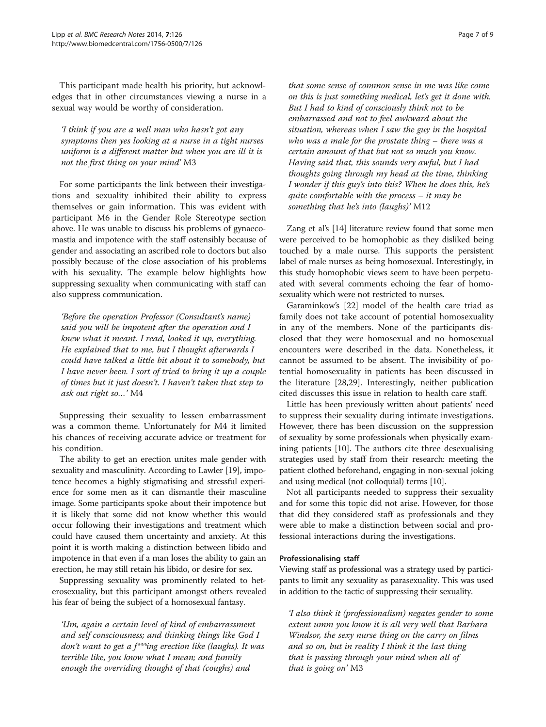This participant made health his priority, but acknowledges that in other circumstances viewing a nurse in a sexual way would be worthy of consideration.

'I think if you are a well man who hasn't got any symptoms then yes looking at a nurse in a tight nurses uniform is a different matter but when you are ill it is not the first thing on your mind' M3

For some participants the link between their investigations and sexuality inhibited their ability to express themselves or gain information. This was evident with participant M6 in the Gender Role Stereotype section above. He was unable to discuss his problems of gynaecomastia and impotence with the staff ostensibly because of gender and associating an ascribed role to doctors but also possibly because of the close association of his problems with his sexuality. The example below highlights how suppressing sexuality when communicating with staff can also suppress communication.

'Before the operation Professor (Consultant's name) said you will be impotent after the operation and I knew what it meant. I read, looked it up, everything. He explained that to me, but I thought afterwards I could have talked a little bit about it to somebody, but I have never been. I sort of tried to bring it up a couple of times but it just doesn't. I haven't taken that step to ask out right so…' M4

Suppressing their sexuality to lessen embarrassment was a common theme. Unfortunately for M4 it limited his chances of receiving accurate advice or treatment for his condition.

The ability to get an erection unites male gender with sexuality and masculinity. According to Lawler [\[19\]](#page-8-0), impotence becomes a highly stigmatising and stressful experience for some men as it can dismantle their masculine image. Some participants spoke about their impotence but it is likely that some did not know whether this would occur following their investigations and treatment which could have caused them uncertainty and anxiety. At this point it is worth making a distinction between libido and impotence in that even if a man loses the ability to gain an erection, he may still retain his libido, or desire for sex.

Suppressing sexuality was prominently related to heterosexuality, but this participant amongst others revealed his fear of being the subject of a homosexual fantasy.

'Um, again a certain level of kind of embarrassment and self consciousness; and thinking things like God I don't want to get a f\*\*\*ing erection like (laughs). It was terrible like, you know what I mean; and funnily enough the overriding thought of that (coughs) and

that some sense of common sense in me was like come on this is just something medical, let's get it done with. But I had to kind of consciously think not to be embarrassed and not to feel awkward about the situation, whereas when I saw the guy in the hospital who was a male for the prostate thing – there was a certain amount of that but not so much you know. Having said that, this sounds very awful, but I had thoughts going through my head at the time, thinking I wonder if this guy's into this? When he does this, he's quite comfortable with the process – it may be something that he's into (laughs)' M12

Zang et al's [\[14](#page-8-0)] literature review found that some men were perceived to be homophobic as they disliked being touched by a male nurse. This supports the persistent label of male nurses as being homosexual. Interestingly, in this study homophobic views seem to have been perpetuated with several comments echoing the fear of homosexuality which were not restricted to nurses.

Garaminkow's [\[22](#page-8-0)] model of the health care triad as family does not take account of potential homosexuality in any of the members. None of the participants disclosed that they were homosexual and no homosexual encounters were described in the data. Nonetheless, it cannot be assumed to be absent. The invisibility of potential homosexuality in patients has been discussed in the literature [\[28,29](#page-8-0)]. Interestingly, neither publication cited discusses this issue in relation to health care staff.

Little has been previously written about patients' need to suppress their sexuality during intimate investigations. However, there has been discussion on the suppression of sexuality by some professionals when physically examining patients [\[10](#page-8-0)]. The authors cite three desexualising strategies used by staff from their research: meeting the patient clothed beforehand, engaging in non-sexual joking and using medical (not colloquial) terms [\[10\]](#page-8-0).

Not all participants needed to suppress their sexuality and for some this topic did not arise. However, for those that did they considered staff as professionals and they were able to make a distinction between social and professional interactions during the investigations.

## Professionalising staff

Viewing staff as professional was a strategy used by participants to limit any sexuality as parasexuality. This was used in addition to the tactic of suppressing their sexuality.

'I also think it (professionalism) negates gender to some extent umm you know it is all very well that Barbara Windsor, the sexy nurse thing on the carry on films and so on, but in reality I think it the last thing that is passing through your mind when all of that is going on' M3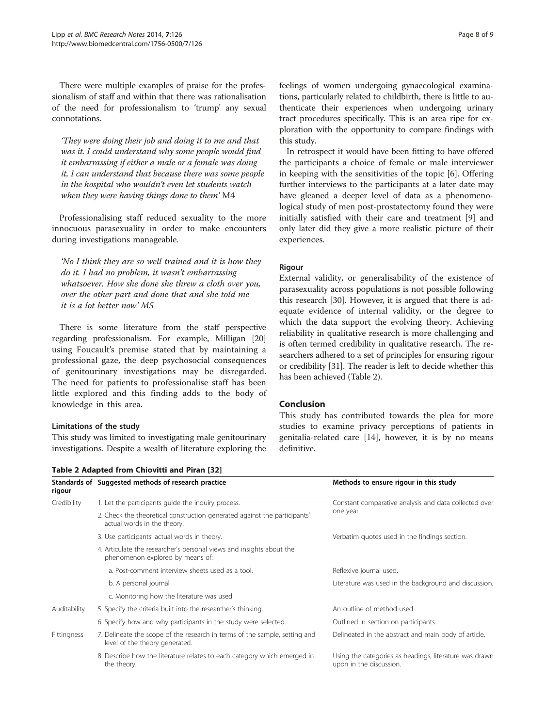There were multiple examples of praise for the professionalism of staff and within that there was rationalisation of the need for professionalism to 'trump' any sexual connotations.

'They were doing their job and doing it to me and that was it. I could understand why some people would find it embarrassing if either a male or a female was doing it, I can understand that because there was some people in the hospital who wouldn't even let students watch when they were having things done to them' M4

Professionalising staff reduced sexuality to the more innocuous parasexuality in order to make encounters during investigations manageable.

'No I think they are so well trained and it is how they do it. I had no problem, it wasn't embarrassing whatsoever. How she done she threw a cloth over you, over the other part and done that and she told me it is a lot better now' M5

There is some literature from the staff perspective regarding professionalism. For example, Milligan [[20](#page-8-0)] using Foucault's premise stated that by maintaining a professional gaze, the deep psychosocial consequences of genitourinary investigations may be disregarded. The need for patients to professionalise staff has been little explored and this finding adds to the body of knowledge in this area.

## Limitations of the study

This study was limited to investigating male genitourinary investigations. Despite a wealth of literature exploring the

Table 2 Adapted from Chiovitti and Piran [32]

feelings of women undergoing gynaecological examinations, particularly related to childbirth, there is little to authenticate their experiences when undergoing urinary tract procedures specifically. This is an area ripe for exploration with the opportunity to compare findings with this study.

In retrospect it would have been fitting to have offered the participants a choice of female or male interviewer in keeping with the sensitivities of the topic [\[6\]](#page-8-0). Offering further interviews to the participants at a later date may have gleaned a deeper level of data as a phenomenological study of men post-prostatectomy found they were initially satisfied with their care and treatment [[9\]](#page-8-0) and only later did they give a more realistic picture of their experiences.

## Rigour

External validity, or generalisability of the existence of parasexuality across populations is not possible following this research [\[30](#page-8-0)]. However, it is argued that there is adequate evidence of internal validity, or the degree to which the data support the evolving theory. Achieving reliability in qualitative research is more challenging and is often termed credibility in qualitative research. The researchers adhered to a set of principles for ensuring rigour or credibility [\[31](#page-8-0)]. The reader is left to decide whether this has been achieved (Table 2).

## Conclusion

This study has contributed towards the plea for more studies to examine privacy perceptions of patients in genitalia-related care [\[14\]](#page-8-0), however, it is by no means definitive.

| rigour       | Standards of Suggested methods of research practice                                                          | Methods to ensure rigour in this study                                            |  |
|--------------|--------------------------------------------------------------------------------------------------------------|-----------------------------------------------------------------------------------|--|
| Credibility  | 1. Let the participants quide the inquiry process.                                                           | Constant comparative analysis and data collected over<br>one year.                |  |
|              | 2. Check the theoretical construction generated against the participants'<br>actual words in the theory.     |                                                                                   |  |
|              | 3. Use participants' actual words in theory.                                                                 | Verbatim quotes used in the findings section.                                     |  |
|              | 4. Articulate the researcher's personal views and insights about the<br>phenomenon explored by means of:     |                                                                                   |  |
|              | a. Post-comment interview sheets used as a tool.                                                             | Reflexive journal used.                                                           |  |
|              | b. A personal journal                                                                                        | Literature was used in the background and discussion.                             |  |
|              | c. Monitoring how the literature was used                                                                    |                                                                                   |  |
| Auditability | 5. Specify the criteria built into the researcher's thinking.                                                | An outline of method used.                                                        |  |
|              | 6. Specify how and why participants in the study were selected.                                              | Outlined in section on participants.                                              |  |
| Fittingness  | 7. Delineate the scope of the research in terms of the sample, setting and<br>level of the theory generated. | Delineated in the abstract and main body of article.                              |  |
|              | 8. Describe how the literature relates to each category which emerged in<br>the theory.                      | Using the categories as headings, literature was drawn<br>upon in the discussion. |  |